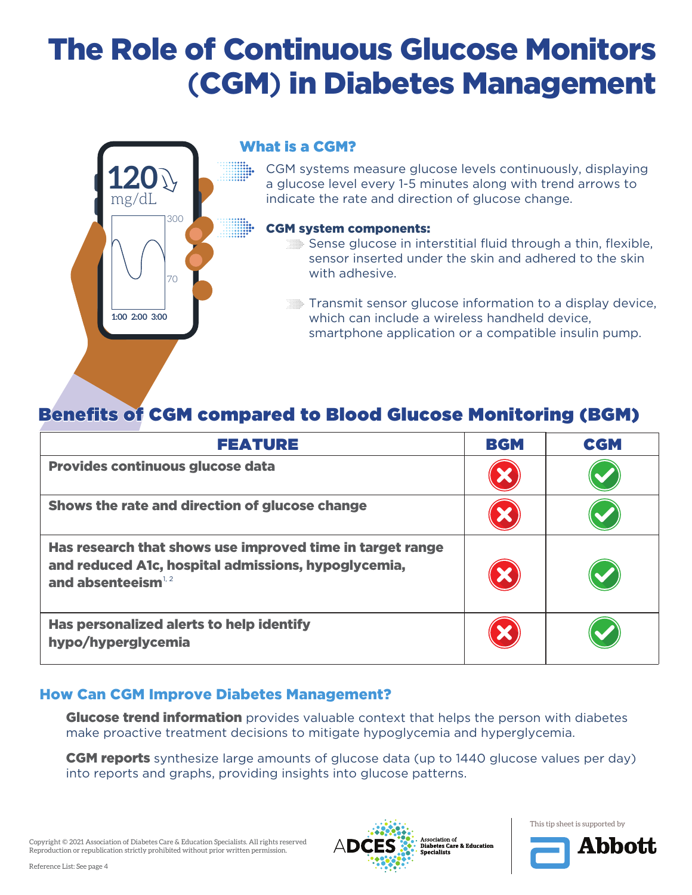

#### What is a CGM?

CGM systems measure glucose levels continuously, displaying a glucose level every 1-5 minutes along with trend arrows to indicate the rate and direction of glucose change.

#### CGM system components:

- Sense glucose in interstitial fluid through a thin, flexible, sensor inserted under the skin and adhered to the skin with adhesive.
- Transmit sensor glucose information to a display device, which can include a wireless handheld device, smartphone application or a compatible insulin pump.

### Benefits of CGM compared to Blood Glucose Monitoring (BGM)

| <b>FEATURE</b>                                                                                                                             | <b>BGM</b> | <b>CGM</b> |
|--------------------------------------------------------------------------------------------------------------------------------------------|------------|------------|
| Provides continuous glucose data                                                                                                           |            |            |
| Shows the rate and direction of glucose change                                                                                             |            |            |
| Has research that shows use improved time in target range<br>and reduced A1c, hospital admissions, hypoglycemia,<br>and absenteeism $1, 2$ |            |            |
| Has personalized alerts to help identify<br>hypo/hyperglycemia                                                                             |            |            |

#### How Can CGM Improve Diabetes Management?

**Glucose trend information** provides valuable context that helps the person with diabetes make proactive treatment decisions to mitigate hypoglycemia and hyperglycemia.

**CGM reports** synthesize large amounts of glucose data (up to 1440 glucose values per day) into reports and graphs, providing insights into glucose patterns.

Copyright © 2021 Association of Diabetes Care & Education Specialists. All rights reserved Reproduction or republication strictly prohibited without prior written permission.



This tip sheet is supported by

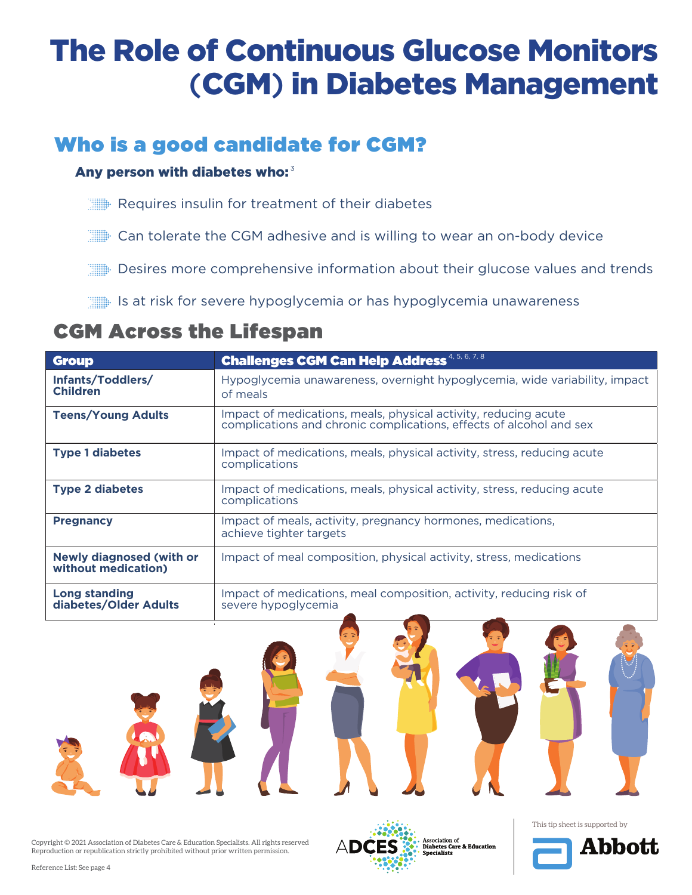### Who is a good candidate for CGM?

#### Any person with diabetes who: $^3$

- Requires insulin for treatment of their diabetes
- Can tolerate the CGM adhesive and is willing to wear an on-body device
- **EXECUTE:** Desires more comprehensive information about their glucose values and trends
- Is at risk for severe hypoglycemia or has hypoglycemia unawareness

### CGM Across the Lifespan

| <b>Group</b>                                           | <b>Challenges CGM Can Help Address</b> 4, 5, 6, 7, 8                                                                                   |  |
|--------------------------------------------------------|----------------------------------------------------------------------------------------------------------------------------------------|--|
| Infants/Toddlers/<br><b>Children</b>                   | Hypoglycemia unawareness, overnight hypoglycemia, wide variability, impact<br>of meals                                                 |  |
| <b>Teens/Young Adults</b>                              | Impact of medications, meals, physical activity, reducing acute<br>complications and chronic complications, effects of alcohol and sex |  |
| <b>Type 1 diabetes</b>                                 | Impact of medications, meals, physical activity, stress, reducing acute<br>complications                                               |  |
| <b>Type 2 diabetes</b>                                 | Impact of medications, meals, physical activity, stress, reducing acute<br>complications                                               |  |
| <b>Pregnancy</b>                                       | Impact of meals, activity, pregnancy hormones, medications,<br>achieve tighter targets                                                 |  |
| <b>Newly diagnosed (with or</b><br>without medication) | Impact of meal composition, physical activity, stress, medications                                                                     |  |
| <b>Long standing</b><br>diabetes/Older Adults          | Impact of medications, meal composition, activity, reducing risk of<br>severe hypoglycemia                                             |  |





This tip sheet is supported by

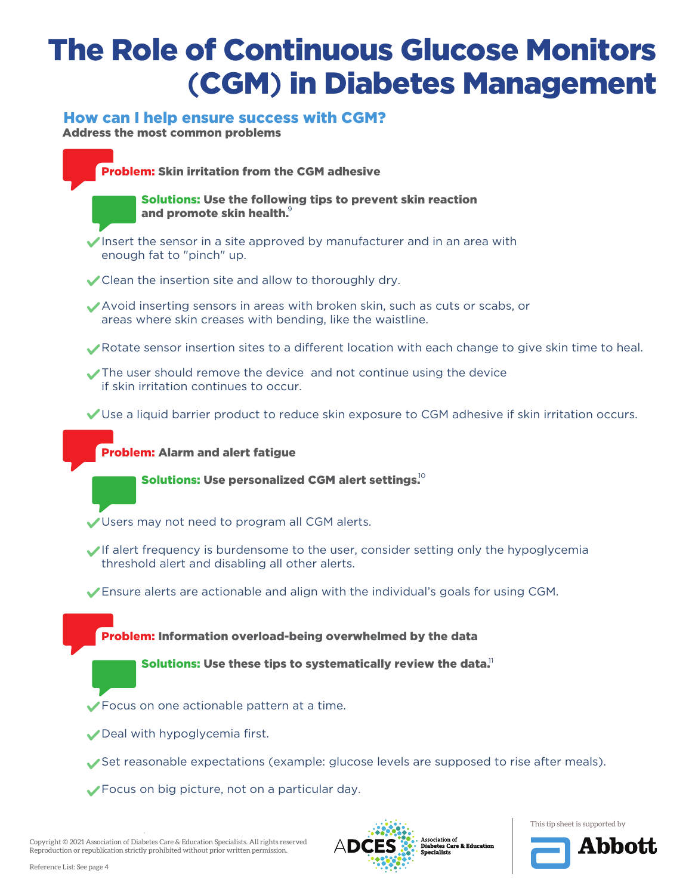#### How can I help ensure success with CGM?

Address the most common problems



Copyright © 2021 Association of Diabetes Care & Education Specialists. All rights reserved Reproduction or republication strictly prohibited without prior written permission.



Association of **Diabetes Care & Education**